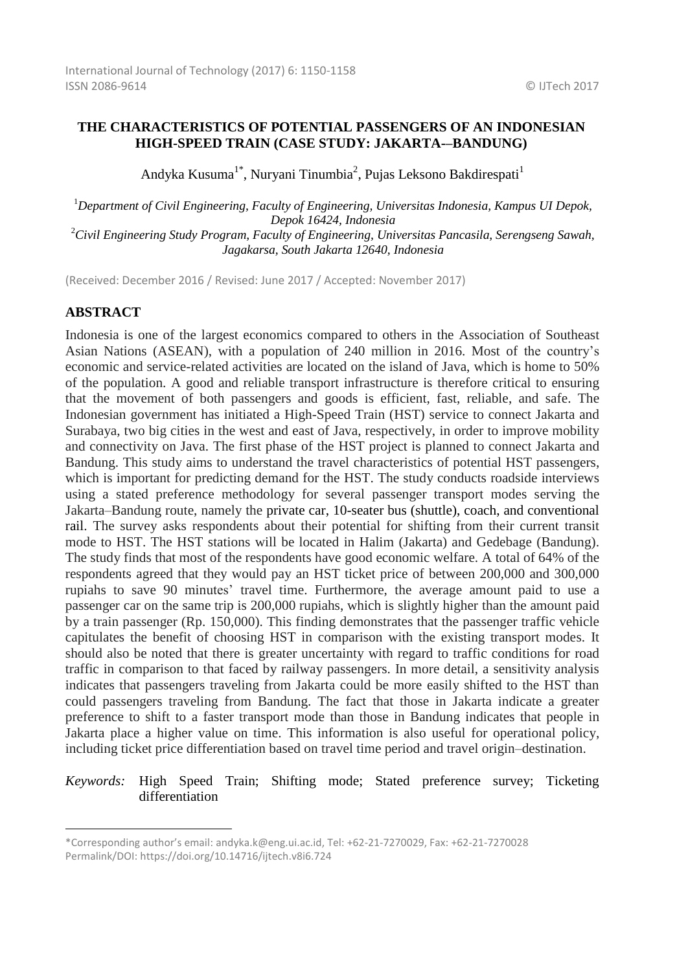# **THE CHARACTERISTICS OF POTENTIAL PASSENGERS OF AN INDONESIAN HIGH-SPEED TRAIN (CASE STUDY: JAKARTA-–BANDUNG)**

Andyka Kusuma<sup>1\*</sup>, Nuryani Tinumbia<sup>2</sup>, Pujas Leksono Bakdirespati<sup>1</sup>

<sup>1</sup>*Department of Civil Engineering, Faculty of Engineering, Universitas Indonesia, Kampus UI Depok, Depok 16424, Indonesia* <sup>2</sup>*Civil Engineering Study Program, Faculty of Engineering, Universitas Pancasila, Serengseng Sawah, Jagakarsa, South Jakarta 12640, Indonesia*

(Received: December 2016 / Revised: June 2017 / Accepted: November 2017)

# **ABSTRACT**

1

Indonesia is one of the largest economics compared to others in the Association of Southeast Asian Nations (ASEAN), with a population of 240 million in 2016. Most of the country's economic and service-related activities are located on the island of Java, which is home to 50% of the population. A good and reliable transport infrastructure is therefore critical to ensuring that the movement of both passengers and goods is efficient, fast, reliable, and safe. The Indonesian government has initiated a High-Speed Train (HST) service to connect Jakarta and Surabaya, two big cities in the west and east of Java, respectively, in order to improve mobility and connectivity on Java. The first phase of the HST project is planned to connect Jakarta and Bandung. This study aims to understand the travel characteristics of potential HST passengers, which is important for predicting demand for the HST. The study conducts roadside interviews using a stated preference methodology for several passenger transport modes serving the Jakarta–Bandung route, namely the private car, 10-seater bus (shuttle), coach, and conventional rail. The survey asks respondents about their potential for shifting from their current transit mode to HST. The HST stations will be located in Halim (Jakarta) and Gedebage (Bandung). The study finds that most of the respondents have good economic welfare. A total of 64% of the respondents agreed that they would pay an HST ticket price of between 200,000 and 300,000 rupiahs to save 90 minutes' travel time. Furthermore, the average amount paid to use a passenger car on the same trip is 200,000 rupiahs, which is slightly higher than the amount paid by a train passenger (Rp. 150,000). This finding demonstrates that the passenger traffic vehicle capitulates the benefit of choosing HST in comparison with the existing transport modes. It should also be noted that there is greater uncertainty with regard to traffic conditions for road traffic in comparison to that faced by railway passengers. In more detail, a sensitivity analysis indicates that passengers traveling from Jakarta could be more easily shifted to the HST than could passengers traveling from Bandung. The fact that those in Jakarta indicate a greater preference to shift to a faster transport mode than those in Bandung indicates that people in Jakarta place a higher value on time. This information is also useful for operational policy, including ticket price differentiation based on travel time period and travel origin–destination.

### *Keywords:* High Speed Train; Shifting mode; Stated preference survey; Ticketing differentiation

<sup>\*</sup>Corresponding author's email: andyka.k@eng.ui.ac.id, Tel: +62-21-7270029, Fax: +62-21-7270028 Permalink/DOI: https://doi.org/10.14716/ijtech.v8i6.724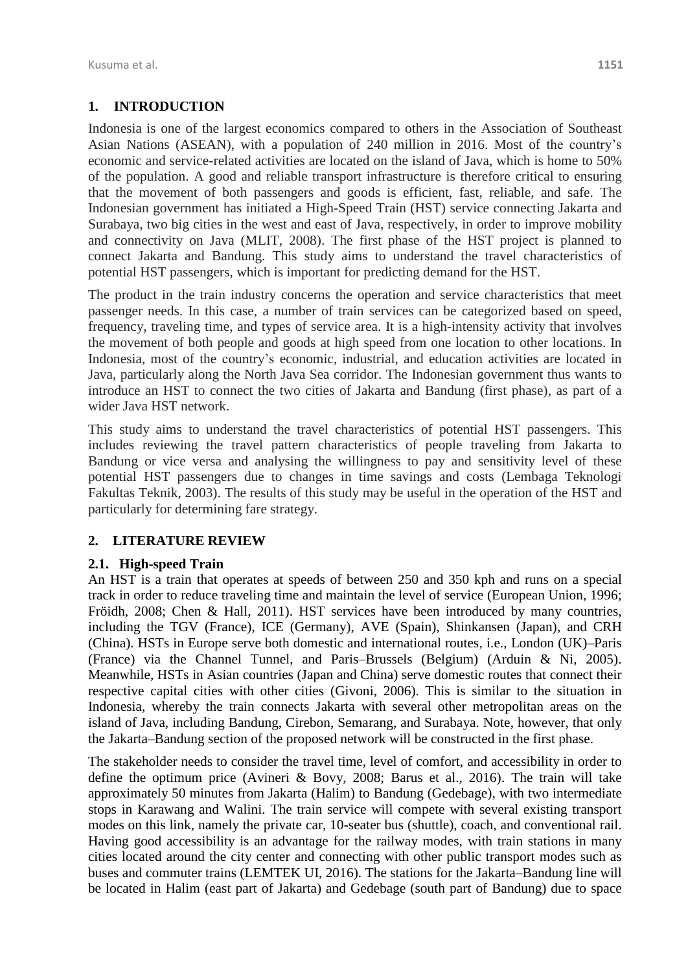# **1. INTRODUCTION**

Indonesia is one of the largest economics compared to others in the Association of Southeast Asian Nations (ASEAN), with a population of 240 million in 2016. Most of the country's economic and service-related activities are located on the island of Java, which is home to 50% of the population. A good and reliable transport infrastructure is therefore critical to ensuring that the movement of both passengers and goods is efficient, fast, reliable, and safe. The Indonesian government has initiated a High-Speed Train (HST) service connecting Jakarta and Surabaya, two big cities in the west and east of Java, respectively, in order to improve mobility and connectivity on Java (MLIT, 2008). The first phase of the HST project is planned to connect Jakarta and Bandung. This study aims to understand the travel characteristics of potential HST passengers, which is important for predicting demand for the HST.

The product in the train industry concerns the operation and service characteristics that meet passenger needs. In this case, a number of train services can be categorized based on speed, frequency, traveling time, and types of service area. It is a high-intensity activity that involves the movement of both people and goods at high speed from one location to other locations. In Indonesia, most of the country's economic, industrial, and education activities are located in Java, particularly along the North Java Sea corridor. The Indonesian government thus wants to introduce an HST to connect the two cities of Jakarta and Bandung (first phase), as part of a wider Java HST network.

This study aims to understand the travel characteristics of potential HST passengers. This includes reviewing the travel pattern characteristics of people traveling from Jakarta to Bandung or vice versa and analysing the willingness to pay and sensitivity level of these potential HST passengers due to changes in time savings and costs (Lembaga Teknologi Fakultas Teknik, 2003). The results of this study may be useful in the operation of the HST and particularly for determining fare strategy.

# **2. LITERATURE REVIEW**

# **2.1. High-speed Train**

An HST is a train that operates at speeds of between 250 and 350 kph and runs on a special track in order to reduce traveling time and maintain the level of service (European Union, 1996; Fröidh, 2008; Chen & Hall, 2011). HST services have been introduced by many countries, including the TGV (France), ICE (Germany), AVE (Spain), Shinkansen (Japan), and CRH (China). HSTs in Europe serve both domestic and international routes, i.e., London (UK)–Paris (France) via the Channel Tunnel, and Paris–Brussels (Belgium) (Arduin & Ni, 2005). Meanwhile, HSTs in Asian countries (Japan and China) serve domestic routes that connect their respective capital cities with other cities (Givoni, 2006). This is similar to the situation in Indonesia, whereby the train connects Jakarta with several other metropolitan areas on the island of Java, including Bandung, Cirebon, Semarang, and Surabaya. Note, however, that only the Jakarta–Bandung section of the proposed network will be constructed in the first phase.

The stakeholder needs to consider the travel time, level of comfort, and accessibility in order to define the optimum price (Avineri & Bovy, 2008; Barus et al., 2016). The train will take approximately 50 minutes from Jakarta (Halim) to Bandung (Gedebage), with two intermediate stops in Karawang and Walini. The train service will compete with several existing transport modes on this link, namely the private car, 10-seater bus (shuttle), coach, and conventional rail. Having good accessibility is an advantage for the railway modes, with train stations in many cities located around the city center and connecting with other public transport modes such as buses and commuter trains (LEMTEK UI, 2016). The stations for the Jakarta–Bandung line will be located in Halim (east part of Jakarta) and Gedebage (south part of Bandung) due to space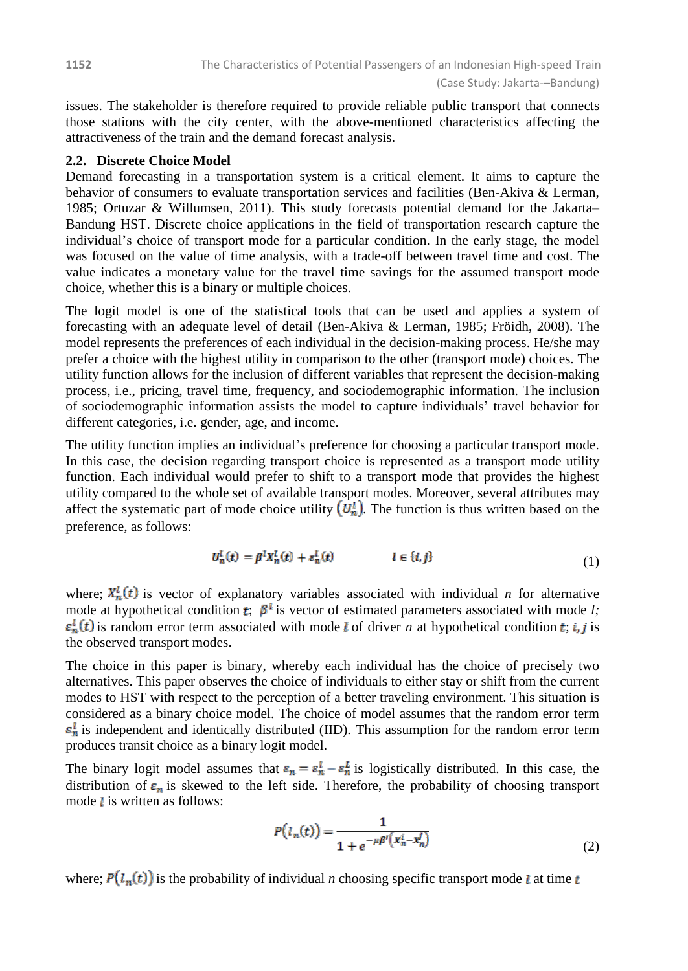issues. The stakeholder is therefore required to provide reliable public transport that connects those stations with the city center, with the above-mentioned characteristics affecting the attractiveness of the train and the demand forecast analysis.

#### **2.2. Discrete Choice Model**

Demand forecasting in a transportation system is a critical element. It aims to capture the behavior of consumers to evaluate transportation services and facilities (Ben-Akiva & Lerman, 1985; Ortuzar & Willumsen, 2011). This study forecasts potential demand for the Jakarta– Bandung HST. Discrete choice applications in the field of transportation research capture the individual's choice of transport mode for a particular condition. In the early stage, the model was focused on the value of time analysis, with a trade-off between travel time and cost. The value indicates a monetary value for the travel time savings for the assumed transport mode choice, whether this is a binary or multiple choices.

The logit model is one of the statistical tools that can be used and applies a system of forecasting with an adequate level of detail (Ben-Akiva & Lerman, 1985; Fröidh, 2008). The model represents the preferences of each individual in the decision-making process. He/she may prefer a choice with the highest utility in comparison to the other (transport mode) choices. The utility function allows for the inclusion of different variables that represent the decision-making process, i.e., pricing, travel time, frequency, and sociodemographic information. The inclusion of sociodemographic information assists the model to capture individuals' travel behavior for different categories, i.e. gender, age, and income.

The utility function implies an individual's preference for choosing a particular transport mode. In this case, the decision regarding transport choice is represented as a transport mode utility function. Each individual would prefer to shift to a transport mode that provides the highest utility compared to the whole set of available transport modes. Moreover, several attributes may affect the systematic part of mode choice utility  $(U_n^l)$ . The function is thus written based on the preference, as follows:

$$
U_n^l(t) = \beta^l X_n^l(t) + \varepsilon_n^l(t) \qquad l \in \{i, j\} \tag{1}
$$

where;  $X_n^l(t)$  is vector of explanatory variables associated with individual *n* for alternative mode at hypothetical condition  $\boldsymbol{t}$ ;  $\beta^l$  is vector of estimated parameters associated with mode *l*;  $\varepsilon_n^l(t)$  is random error term associated with mode *l* of driver *n* at hypothetical condition *t*; *i*, *j* is the observed transport modes.

The choice in this paper is binary, whereby each individual has the choice of precisely two alternatives. This paper observes the choice of individuals to either stay or shift from the current modes to HST with respect to the perception of a better traveling environment. This situation is considered as a binary choice model. The choice of model assumes that the random error term  $\varepsilon_n^l$  is independent and identically distributed (IID). This assumption for the random error term produces transit choice as a binary logit model.

The binary logit model assumes that  $\varepsilon_n = \varepsilon_n^l - \varepsilon_n^l$  is logistically distributed. In this case, the distribution of  $\varepsilon_n$  is skewed to the left side. Therefore, the probability of choosing transport mode  $l$  is written as follows:

$$
P(l_n(t)) = \frac{1}{1 + e^{-\mu \beta'}(x_n^i - x_n^j)}
$$
(2)

where;  $P(l_n(t))$  is the probability of individual *n* choosing specific transport mode *l* at time *t*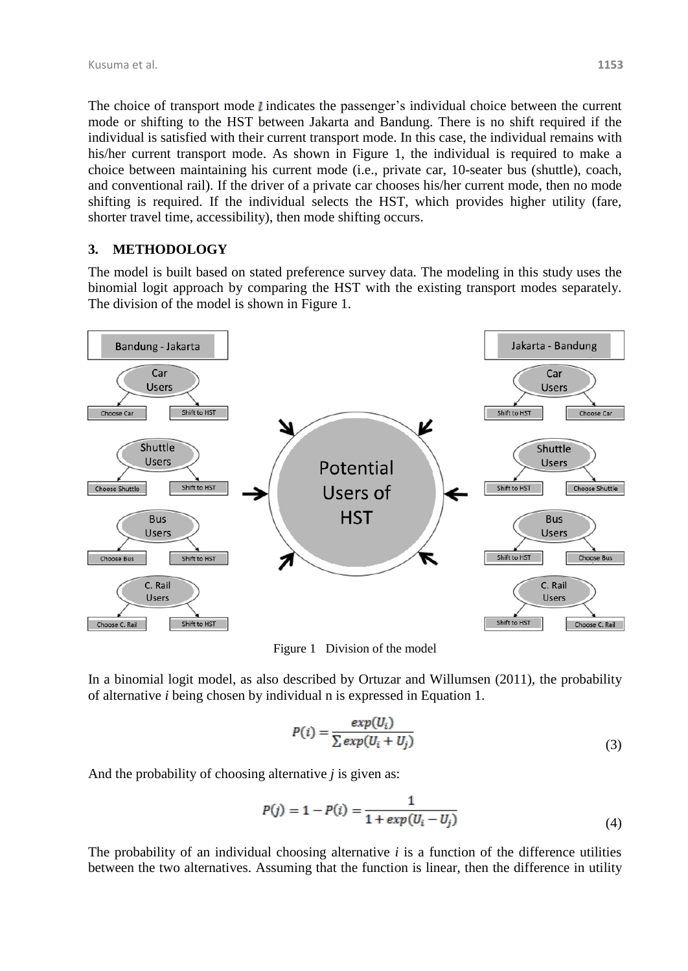The choice of transport mode  $l$  indicates the passenger's individual choice between the current mode or shifting to the HST between Jakarta and Bandung. There is no shift required if the individual is satisfied with their current transport mode. In this case, the individual remains with his/her current transport mode. As shown in [Figure 1,](#page-3-0) the individual is required to make a choice between maintaining his current mode (i.e., private car, 10-seater bus (shuttle), coach, and conventional rail). If the driver of a private car chooses his/her current mode, then no mode shifting is required. If the individual selects the HST, which provides higher utility (fare, shorter travel time, accessibility), then mode shifting occurs.

### **3. METHODOLOGY**

The model is built based on stated preference survey data. The modeling in this study uses the binomial logit approach by comparing the HST with the existing transport modes separately. The division of the model is shown in [Figure 1.](#page-3-0)



Figure 1Division of the model

<span id="page-3-0"></span>In a binomial logit model, as also described by Ortuzar and Willumsen (2011), the probability of alternative *i* being chosen by individual n is expressed in Equation 1.

$$
P(i) = \frac{exp(U_i)}{\sum exp(U_i + U_j)}
$$
\n(3)

And the probability of choosing alternative *j* is given as:

$$
P(j) = 1 - P(i) = \frac{1}{1 + exp(U_i - U_j)}
$$
\n(4)

The probability of an individual choosing alternative *i* is a function of the difference utilities between the two alternatives. Assuming that the function is linear, then the difference in utility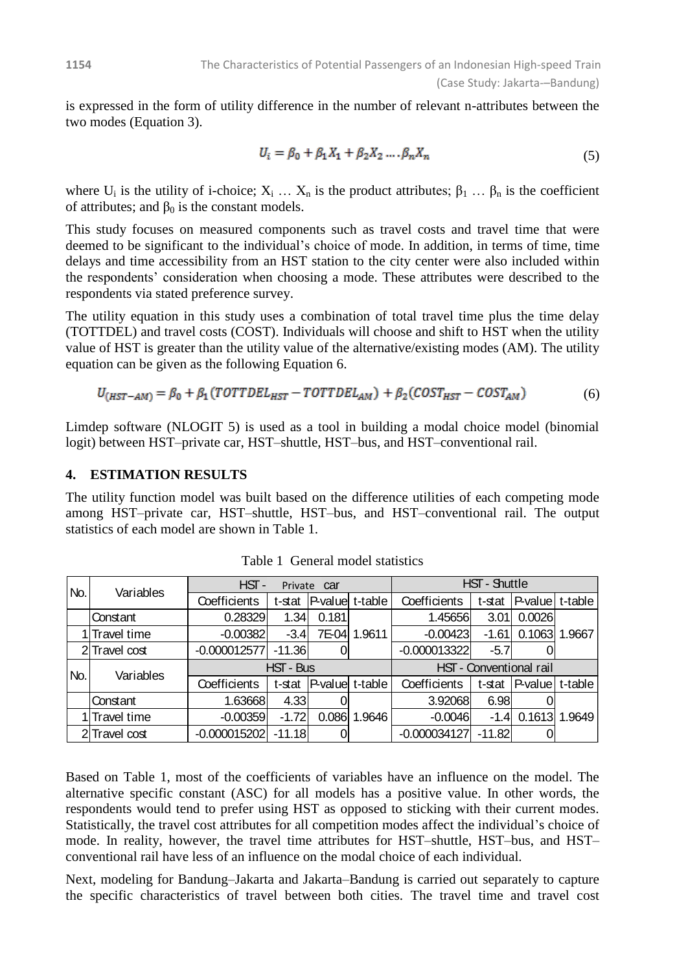is expressed in the form of utility difference in the number of relevant n-attributes between the two modes (Equation 3).

$$
U_i = \beta_0 + \beta_1 X_1 + \beta_2 X_2 \dots \beta_n X_n \tag{5}
$$

where  $U_i$  is the utility of i-choice;  $X_i$  …  $X_n$  is the product attributes;  $\beta_1$  …  $\beta_n$  is the coefficient of attributes; and  $\beta_0$  is the constant models.

This study focuses on measured components such as travel costs and travel time that were deemed to be significant to the individual's choice of mode. In addition, in terms of time, time delays and time accessibility from an HST station to the city center were also included within the respondents' consideration when choosing a mode. These attributes were described to the respondents via stated preference survey.

The utility equation in this study uses a combination of total travel time plus the time delay (TOTTDEL) and travel costs (COST). Individuals will choose and shift to HST when the utility value of HST is greater than the utility value of the alternative/existing modes (AM). The utility equation can be given as the following Equation 6.

$$
U_{(HST-AM)} = \beta_0 + \beta_1 (TOTTDEL_{HST} - TOTTDEL_{AM}) + \beta_2 (COST_{HST} - COST_{AM}) \tag{6}
$$

Limdep software (NLOGIT 5) is used as a tool in building a modal choice model (binomial logit) between HST–private car, HST–shuttle, HST–bus, and HST–conventional rail.

### **4. ESTIMATION RESULTS**

The utility function model was built based on the difference utilities of each competing mode among HST–private car, HST–shuttle, HST–bus, and HST–conventional rail. The output statistics of each model are shown in [Table 1.](#page-4-0)

<span id="page-4-0"></span>

| No. | Variables     | HST-<br>Private Car |          |                        |         | HST - Shuttle           |          |                 |        |
|-----|---------------|---------------------|----------|------------------------|---------|-------------------------|----------|-----------------|--------|
|     |               | Coefficients        | t-stat   | $P-value$              | t-table | Coefficients            | t-stat   | P-value t-table |        |
|     | Constant      | 0.28329             | 1.34     | 0.181                  | 1.9611  | 1.45656                 | 3.01     | 0.0026          | .9667  |
|     | 1 Travel time | $-0.00382$          | $-3.4$   | 7E-04                  |         | $-0.00423$              | $-1.61$  | 0.1063          |        |
|     | 2Travel cost  | $-0.000012577$      | $-11.36$ |                        |         | $-0.000013322$          | $-5.7$   |                 |        |
| No. | Variables     | HST - Bus           |          |                        |         | HST - Conventional rail |          |                 |        |
|     |               | Coefficients        | t-stat   | <b>P-value</b> t-table |         | Coefficients            | t-stat   | P-value t-table |        |
|     | Constant      | 1.63668             | 4.33     |                        |         | 3.92068                 | 6.98     |                 |        |
|     | 1 Travel time | $-0.00359$          | $-1.72$  | 0.086                  | 1.9646  | $-0.0046$               | $-1.4$   | 0.1613          | 1.9649 |
|     | 2Travel cost  | $-0.000015202$      | $-11.18$ |                        |         | $-0.000034127$          | $-11.82$ |                 |        |

Table 1 General model statistics

Based on Table 1, most of the coefficients of variables have an influence on the model. The alternative specific constant (ASC) for all models has a positive value. In other words, the respondents would tend to prefer using HST as opposed to sticking with their current modes. Statistically, the travel cost attributes for all competition modes affect the individual's choice of mode. In reality, however, the travel time attributes for HST–shuttle, HST–bus, and HST– conventional rail have less of an influence on the modal choice of each individual.

Next, modeling for Bandung–Jakarta and Jakarta–Bandung is carried out separately to capture the specific characteristics of travel between both cities. The travel time and travel cost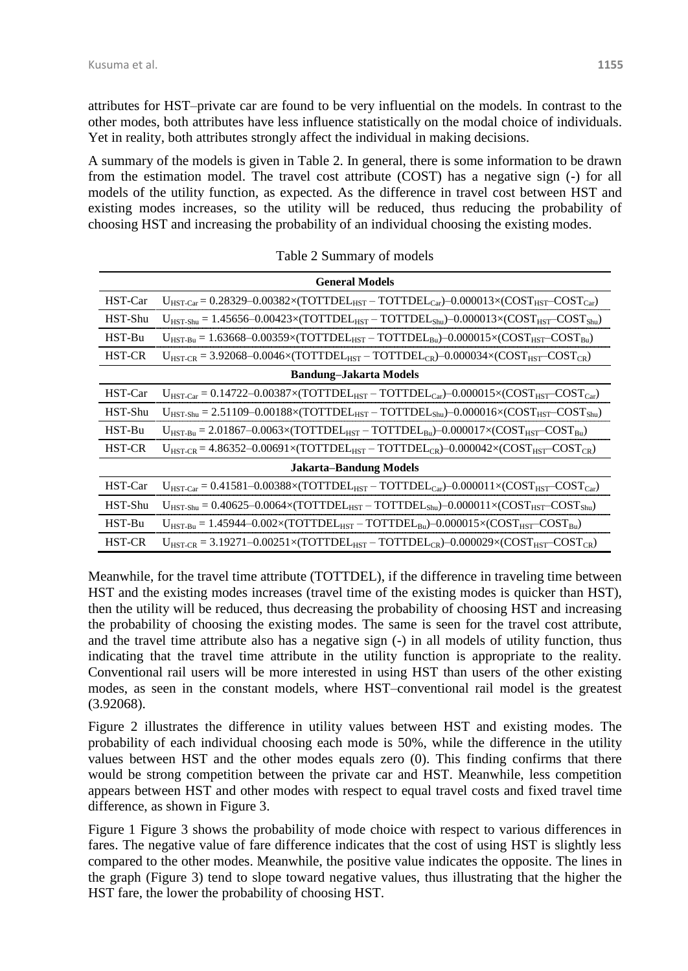attributes for HST–private car are found to be very influential on the models. In contrast to the other modes, both attributes have less influence statistically on the modal choice of individuals. Yet in reality, both attributes strongly affect the individual in making decisions.

A summary of the models is given in [Table 2.](#page-5-0) In general, there is some information to be drawn from the estimation model. The travel cost attribute (COST) has a negative sign (-) for all models of the utility function, as expected. As the difference in travel cost between HST and existing modes increases, so the utility will be reduced, thus reducing the probability of choosing HST and increasing the probability of an individual choosing the existing modes.

<span id="page-5-0"></span>

| <b>General Models</b>         |                                                                                                                      |  |  |  |  |  |  |
|-------------------------------|----------------------------------------------------------------------------------------------------------------------|--|--|--|--|--|--|
| HST-Car                       | $U_{HST-Car} = 0.28329 - 0.00382 \times (TOTTDEL_{HST} - TOTTDEL_{Car}) - 0.000013 \times (COST_{HST}-COST_{Car})$   |  |  |  |  |  |  |
| HST-Shu                       | $U_{HST-Shu} = 1.45656 - 0.00423 \times (TOTTDEL_{HST} - TOTTDEL_{Shu}) - 0.000013 \times (COST_{HST} - COST_{hul})$ |  |  |  |  |  |  |
| HST-Bu                        | $U_{HST-Ru} = 1.63668 - 0.00359 \times (TOTTDEL_{HST} - TOTTDEL_{Bu}) - 0.000015 \times (COST_{HST} - COST_{Bu})$    |  |  |  |  |  |  |
| <b>HST-CR</b>                 | $U_{HST-CR} = 3.92068 - 0.0046 \times (TOTTDEL_{HST} - TOTTDEL_{CR}) - 0.000034 \times (COST_{HST} - COST_{CR})$     |  |  |  |  |  |  |
| <b>Bandung-Jakarta Models</b> |                                                                                                                      |  |  |  |  |  |  |
| HST-Car                       | $U_{HST-Car} = 0.14722 - 0.00387 \times (TOTTDEL_{HST} - TOTTDEL_{Car}) - 0.000015 \times (COST_{HST} - COST_{car})$ |  |  |  |  |  |  |
| HST-Shu                       | $U_{HST-Shu} = 2.51109 - 0.00188 \times (TOTTDEL_{HST} - TOTTDEL_{Shu}) - 0.000016 \times (COST_{HST} - COST_{Shu})$ |  |  |  |  |  |  |
| HST-Bu                        | $U_{HST-Bu} = 2.01867 - 0.0063 \times (TOTTDEL_{HST} - TOTTDEL_{Bu}) - 0.000017 \times (COST_{HST} - COST_{Bu})$     |  |  |  |  |  |  |
| HST-CR                        | $U_{HST-CR} = 4.86352 - 0.00691 \times (TOTTDEL_{HST} - TOTTDEL_{CR}) - 0.000042 \times (COST_{HST} - COST_{CR})$    |  |  |  |  |  |  |
| <b>Jakarta-Bandung Models</b> |                                                                                                                      |  |  |  |  |  |  |
| HST-Car                       | $U_{HST-Car} = 0.41581 - 0.00388 \times (TOTTDEL_{HST} - TOTTDEL_{Car}) - 0.000011 \times (COST_{HST}-COST_{Car})$   |  |  |  |  |  |  |
| HST-Shu                       | $U_{HST-Shu} = 0.40625 - 0.0064 \times (TOTTDEL_{HST} - TOTTDEL_{Shu}) - 0.000011 \times (COST_{HST} - COST_{Shu})$  |  |  |  |  |  |  |
| HST-Bu                        | $U_{HST-Bu} = 1.45944 - 0.002 \times (TOTTDEL_{HST} - TOTTDEL_{Bu}) - 0.000015 \times (COST_{HST} - COST_{Bu})$      |  |  |  |  |  |  |
| <b>HST-CR</b>                 | $U_{HST-CR} = 3.19271 - 0.00251 \times (TOTTDEL_{HST} - TOTTDEL_{CR}) - 0.000029 \times (COST_{HST} - COST_{CR})$    |  |  |  |  |  |  |

Table 2 Summary of models

Meanwhile, for the travel time attribute (TOTTDEL), if the difference in traveling time between HST and the existing modes increases (travel time of the existing modes is quicker than HST), then the utility will be reduced, thus decreasing the probability of choosing HST and increasing the probability of choosing the existing modes. The same is seen for the travel cost attribute, and the travel time attribute also has a negative sign (-) in all models of utility function, thus indicating that the travel time attribute in the utility function is appropriate to the reality. Conventional rail users will be more interested in using HST than users of the other existing modes, as seen in the constant models, where HST–conventional rail model is the greatest (3.92068).

[Figure 2](#page-6-0) illustrates the difference in utility values between HST and existing modes. The probability of each individual choosing each mode is 50%, while the difference in the utility values between HST and the other modes equals zero (0). This finding confirms that there would be strong competition between the private car and HST. Meanwhile, less competition appears between HST and other modes with respect to equal travel costs and fixed travel time difference, as shown in [Figure 3.](#page-6-1)

[Figure 1](#page-3-0) [Figure 3](#page-6-1) shows the probability of mode choice with respect to various differences in fares. The negative value of fare difference indicates that the cost of using HST is slightly less compared to the other modes. Meanwhile, the positive value indicates the opposite. The lines in the graph [\(Figure 3\)](#page-6-1) tend to slope toward negative values, thus illustrating that the higher the HST fare, the lower the probability of choosing HST.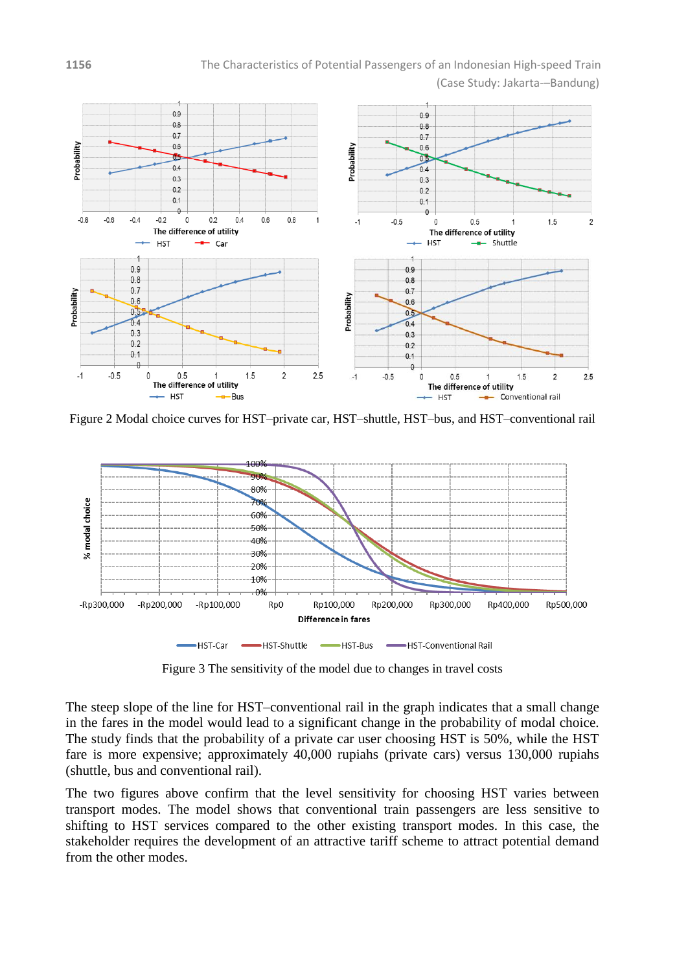

<span id="page-6-0"></span>Figure 2 Modal choice curves for HST–private car, HST–shuttle, HST–bus, and HST–conventional rail



Figure 3 The sensitivity of the model due to changes in travel costs

<span id="page-6-1"></span>The steep slope of the line for HST–conventional rail in the graph indicates that a small change in the fares in the model would lead to a significant change in the probability of modal choice. The study finds that the probability of a private car user choosing HST is 50%, while the HST fare is more expensive; approximately 40,000 rupiahs (private cars) versus 130,000 rupiahs (shuttle, bus and conventional rail).

The two figures above confirm that the level sensitivity for choosing HST varies between transport modes. The model shows that conventional train passengers are less sensitive to shifting to HST services compared to the other existing transport modes. In this case, the stakeholder requires the development of an attractive tariff scheme to attract potential demand from the other modes.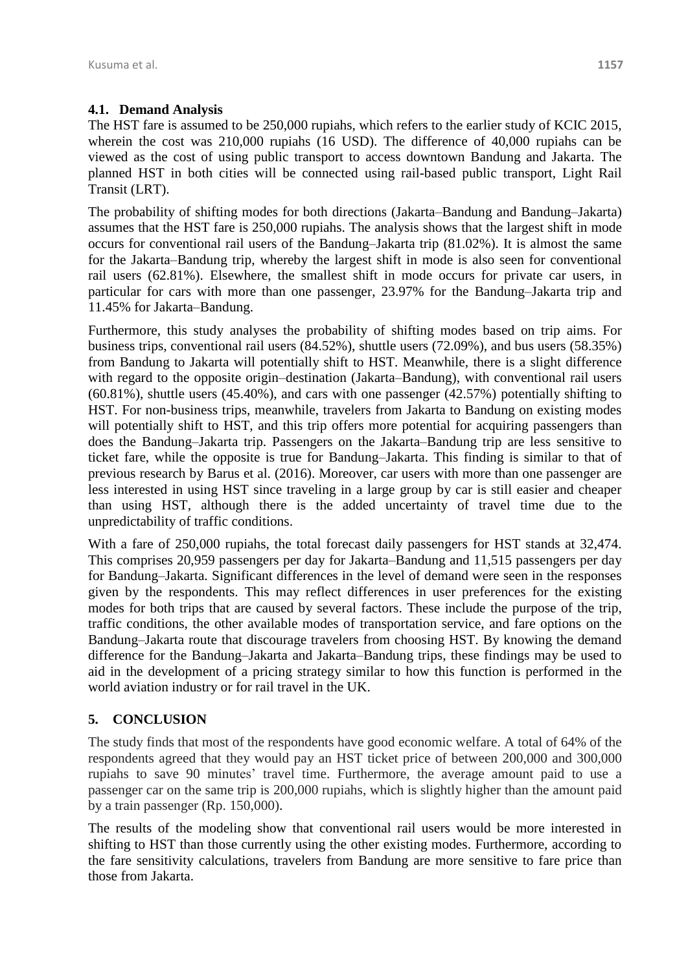### **4.1. Demand Analysis**

The HST fare is assumed to be 250,000 rupiahs, which refers to the earlier study of KCIC 2015, wherein the cost was 210,000 rupiahs (16 USD). The difference of 40,000 rupiahs can be viewed as the cost of using public transport to access downtown Bandung and Jakarta. The planned HST in both cities will be connected using rail-based public transport, Light Rail Transit (LRT).

The probability of shifting modes for both directions (Jakarta–Bandung and Bandung–Jakarta) assumes that the HST fare is 250,000 rupiahs. The analysis shows that the largest shift in mode occurs for conventional rail users of the Bandung–Jakarta trip (81.02%). It is almost the same for the Jakarta–Bandung trip, whereby the largest shift in mode is also seen for conventional rail users (62.81%). Elsewhere, the smallest shift in mode occurs for private car users, in particular for cars with more than one passenger, 23.97% for the Bandung–Jakarta trip and 11.45% for Jakarta–Bandung.

Furthermore, this study analyses the probability of shifting modes based on trip aims. For business trips, conventional rail users (84.52%), shuttle users (72.09%), and bus users (58.35%) from Bandung to Jakarta will potentially shift to HST. Meanwhile, there is a slight difference with regard to the opposite origin–destination (Jakarta–Bandung), with conventional rail users (60.81%), shuttle users (45.40%), and cars with one passenger (42.57%) potentially shifting to HST. For non-business trips, meanwhile, travelers from Jakarta to Bandung on existing modes will potentially shift to HST, and this trip offers more potential for acquiring passengers than does the Bandung–Jakarta trip. Passengers on the Jakarta–Bandung trip are less sensitive to ticket fare, while the opposite is true for Bandung–Jakarta. This finding is similar to that of previous research by Barus et al. (2016). Moreover, car users with more than one passenger are less interested in using HST since traveling in a large group by car is still easier and cheaper than using HST, although there is the added uncertainty of travel time due to the unpredictability of traffic conditions.

With a fare of 250,000 rupiahs, the total forecast daily passengers for HST stands at 32,474. This comprises 20,959 passengers per day for Jakarta–Bandung and 11,515 passengers per day for Bandung–Jakarta. Significant differences in the level of demand were seen in the responses given by the respondents. This may reflect differences in user preferences for the existing modes for both trips that are caused by several factors. These include the purpose of the trip, traffic conditions, the other available modes of transportation service, and fare options on the Bandung–Jakarta route that discourage travelers from choosing HST. By knowing the demand difference for the Bandung–Jakarta and Jakarta–Bandung trips, these findings may be used to aid in the development of a pricing strategy similar to how this function is performed in the world aviation industry or for rail travel in the UK.

# **5. CONCLUSION**

The study finds that most of the respondents have good economic welfare. A total of 64% of the respondents agreed that they would pay an HST ticket price of between 200,000 and 300,000 rupiahs to save 90 minutes' travel time. Furthermore, the average amount paid to use a passenger car on the same trip is 200,000 rupiahs, which is slightly higher than the amount paid by a train passenger (Rp. 150,000).

The results of the modeling show that conventional rail users would be more interested in shifting to HST than those currently using the other existing modes. Furthermore, according to the fare sensitivity calculations, travelers from Bandung are more sensitive to fare price than those from Jakarta.